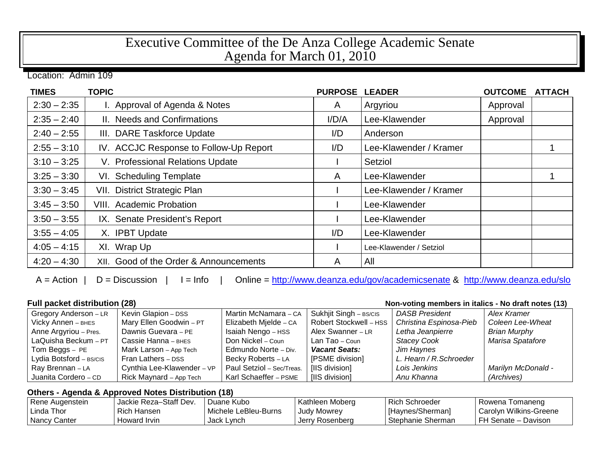## Executive Committee of the De Anza College Academic Senate Agenda for March 01, 2010

Location: Admin 109

| <b>TIMES</b>  | <b>TOPIC</b>                           | <b>PURPOSE</b> | <b>LEADER</b>           | <b>OUTCOME</b> | <b>ATTACH</b> |
|---------------|----------------------------------------|----------------|-------------------------|----------------|---------------|
| $2:30 - 2:35$ | I. Approval of Agenda & Notes          | A              | Argyriou                | Approval       |               |
| $2:35 - 2:40$ | II. Needs and Confirmations            | I/D/A          | Lee-Klawender           | Approval       |               |
| $2:40 - 2:55$ | III. DARE Taskforce Update             | I/D            | Anderson                |                |               |
| $2:55 - 3:10$ | IV. ACCJC Response to Follow-Up Report | I/D            | Lee-Klawender / Kramer  |                |               |
| $3:10 - 3:25$ | V. Professional Relations Update       |                | Setziol                 |                |               |
| $3:25 - 3:30$ | VI. Scheduling Template                | A              | Lee-Klawender           |                |               |
| $3:30 - 3:45$ | VII. District Strategic Plan           |                | Lee-Klawender / Kramer  |                |               |
| $3:45 - 3:50$ | <b>VIII.</b> Academic Probation        |                | Lee-Klawender           |                |               |
| $3:50 - 3:55$ | IX. Senate President's Report          |                | Lee-Klawender           |                |               |
| $3:55 - 4:05$ | X. IPBT Update                         | I/D            | Lee-Klawender           |                |               |
| $4:05 - 4:15$ | XI. Wrap Up                            |                | Lee-Klawender / Setziol |                |               |
| $4:20 - 4:30$ | XII. Good of the Order & Announcements | A              | All                     |                |               |

A = Action | D = Discussion | I = Info | Online =<http://www.deanza.edu/gov/academicsenate> & <http://www.deanza.edu/slo>

| <b>Full packet distribution (28)</b><br>Non-voting members in italics - No draft notes (13) |                            |                           |                        |                         |                           |  |
|---------------------------------------------------------------------------------------------|----------------------------|---------------------------|------------------------|-------------------------|---------------------------|--|
| Gregory Anderson - LR                                                                       | Kevin Glapion - DSS        | Martin McNamara - CA      | Sukhjit Singh - BS/CIS | <b>DASB President</b>   | Alex Kramer               |  |
| Vicky Annen - BHES                                                                          | Mary Ellen Goodwin - PT    | Elizabeth Mjelde - CA     | Robert Stockwell - HSS | Christina Espinosa-Pieb | Coleen Lee-Wheat          |  |
| Anne Argyriou - Pres.                                                                       | Dawnis Guevara - PE        | Isaiah Nengo - HSS        | Alex Swanner - LR      | Letha Jeanpierre        | <b>Brian Murphy</b>       |  |
| LaQuisha Beckum - PT                                                                        | Cassie Hanna - BHES        | Don Nickel – Coun         | Lan Tao - Coun         | <b>Stacey Cook</b>      | Marisa Spatafore          |  |
| Tom Beggs $-$ PE                                                                            | Mark Larson - App Tech     | Edmundo Norte - Div.      | <b>Vacant Seats:</b>   | Jim Haynes              |                           |  |
| Lydia Botsford - BS/CIS                                                                     | Fran Lathers - DSS         | Becky Roberts - LA        | [PSME division]        | L. Hearn / R. Schroeder |                           |  |
| Ray Brennan - LA                                                                            | Cynthia Lee-Klawender - VP | Paul Setziol - Sec/Treas. | [IIS division]         | Lois Jenkins            | <b>Marilyn McDonald -</b> |  |
| Juanita Cordero - CD                                                                        | Rick Maynard - App Tech    | Karl Schaeffer - PSME     | [IIS division]         | Anu Khanna              | (Archives)                |  |

## **Others - Agenda & Approved Notes Distribution (18)**

| Rene Augenstein | Jackie Reza-Staff Dev. | Juane Kubo           | Kathleen Moberg    | <b>Rich Schroeder</b> | Rowena Tomaneng          |
|-----------------|------------------------|----------------------|--------------------|-----------------------|--------------------------|
| l Linda Thor    | Rich Hansen            | Michele LeBleu-Burns | <b>Judy Mowrey</b> | [Haynes/Sherman]      | I Carolyn Wilkins-Greene |
| l Nancv Canter  | Howard Irvin           | Jack Lynch           | Jerry Rosenberg    | Stephanie Sherman     | FH Senate - Davison      |